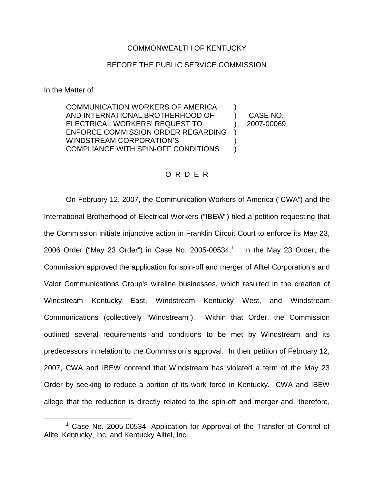## COMMONWEALTH OF KENTUCKY

## BEFORE THE PUBLIC SERVICE COMMISSION

In the Matter of:

COMMUNICATION WORKERS OF AMERICA AND INTERNATIONAL BROTHERHOOD OF ELECTRICAL WORKERS' REQUEST TO ENFORCE COMMISSION ORDER REGARDING WINDSTREAM CORPORATION'S COMPLIANCE WITH SPIN-OFF CONDITIONS ) ) ) )

) CASE NO. ) 2007-00069

## O R D E R

On February 12, 2007, the Communication Workers of America ("CWA") and the International Brotherhood of Electrical Workers ("IBEW") filed a petition requesting that the Commission initiate injunctive action in Franklin Circuit Court to enforce its May 23, 2006 Order ("May 23 Order") in Case No. 2005-00534.<sup>1</sup> In the May 23 Order, the Commission approved the application for spin-off and merger of Alltel Corporation's and Valor Communications Group's wireline businesses, which resulted in the creation of Windstream Kentucky East, Windstream Kentucky West, and Windstream Communications (collectively "Windstream"). Within that Order, the Commission outlined several requirements and conditions to be met by Windstream and its predecessors in relation to the Commission's approval. In their petition of February 12, 2007, CWA and IBEW contend that Windstream has violated a term of the May 23 Order by seeking to reduce a portion of its work force in Kentucky. CWA and IBEW allege that the reduction is directly related to the spin-off and merger and, therefore,

<sup>1</sup> Case No. 2005-00534, Application for Approval of the Transfer of Control of Alltel Kentucky, Inc. and Kentucky Alltel, Inc.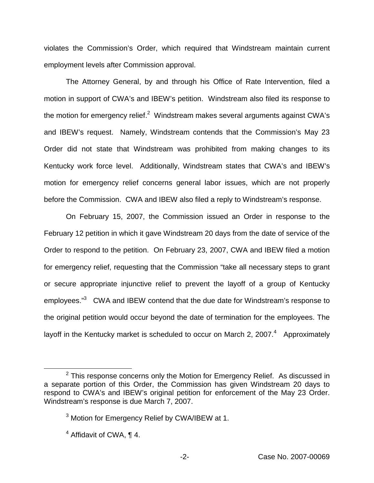violates the Commission's Order, which required that Windstream maintain current employment levels after Commission approval.

The Attorney General, by and through his Office of Rate Intervention, filed a motion in support of CWA's and IBEW's petition. Windstream also filed its response to the motion for emergency relief.<sup>2</sup> Windstream makes several arguments against CWA's and IBEW's request. Namely, Windstream contends that the Commission's May 23 Order did not state that Windstream was prohibited from making changes to its Kentucky work force level. Additionally, Windstream states that CWA's and IBEW's motion for emergency relief concerns general labor issues, which are not properly before the Commission. CWA and IBEW also filed a reply to Windstream's response.

On February 15, 2007, the Commission issued an Order in response to the February 12 petition in which it gave Windstream 20 days from the date of service of the Order to respond to the petition. On February 23, 2007, CWA and IBEW filed a motion for emergency relief, requesting that the Commission "take all necessary steps to grant or secure appropriate injunctive relief to prevent the layoff of a group of Kentucky employees."<sup>3</sup> CWA and IBEW contend that the due date for Windstream's response to the original petition would occur beyond the date of termination for the employees. The layoff in the Kentucky market is scheduled to occur on March 2, 2007. $4$  Approximately

 $2$  This response concerns only the Motion for Emergency Relief. As discussed in a separate portion of this Order, the Commission has given Windstream 20 days to respond to CWA's and IBEW's original petition for enforcement of the May 23 Order. Windstream's response is due March 7, 2007.

<sup>&</sup>lt;sup>3</sup> Motion for Emergency Relief by CWA/IBEW at 1.

<sup>4</sup> Affidavit of CWA, ¶ 4.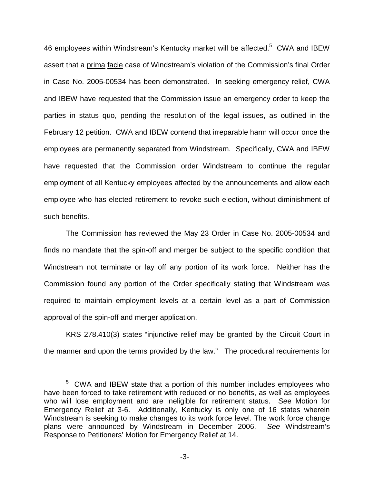46 employees within Windstream's Kentucky market will be affected.<sup>5</sup> CWA and IBEW assert that a prima facie case of Windstream's violation of the Commission's final Order in Case No. 2005-00534 has been demonstrated. In seeking emergency relief, CWA and IBEW have requested that the Commission issue an emergency order to keep the parties in status quo, pending the resolution of the legal issues, as outlined in the February 12 petition. CWA and IBEW contend that irreparable harm will occur once the employees are permanently separated from Windstream. Specifically, CWA and IBEW have requested that the Commission order Windstream to continue the regular employment of all Kentucky employees affected by the announcements and allow each employee who has elected retirement to revoke such election, without diminishment of such benefits.

The Commission has reviewed the May 23 Order in Case No. 2005-00534 and finds no mandate that the spin-off and merger be subject to the specific condition that Windstream not terminate or lay off any portion of its work force. Neither has the Commission found any portion of the Order specifically stating that Windstream was required to maintain employment levels at a certain level as a part of Commission approval of the spin-off and merger application.

KRS 278.410(3) states "injunctive relief may be granted by the Circuit Court in the manner and upon the terms provided by the law." The procedural requirements for

<sup>5</sup> CWA and IBEW state that a portion of this number includes employees who have been forced to take retirement with reduced or no benefits, as well as employees who will lose employment and are ineligible for retirement status. *Se*e Motion for Emergency Relief at 3-6. Additionally, Kentucky is only one of 16 states wherein Windstream is seeking to make changes to its work force level. The work force change plans were announced by Windstream in December 2006. *See* Windstream's Response to Petitioners' Motion for Emergency Relief at 14.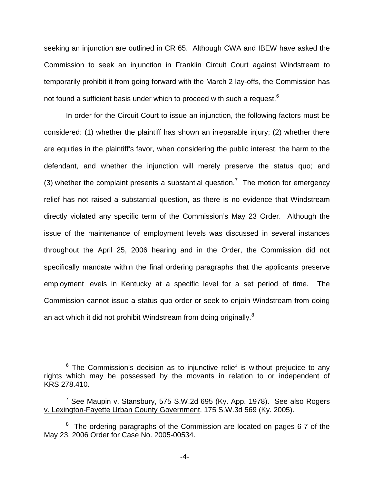seeking an injunction are outlined in CR 65. Although CWA and IBEW have asked the Commission to seek an injunction in Franklin Circuit Court against Windstream to temporarily prohibit it from going forward with the March 2 lay-offs, the Commission has not found a sufficient basis under which to proceed with such a request.<sup>6</sup>

In order for the Circuit Court to issue an injunction, the following factors must be considered: (1) whether the plaintiff has shown an irreparable injury; (2) whether there are equities in the plaintiff's favor, when considering the public interest, the harm to the defendant, and whether the injunction will merely preserve the status quo; and (3) whether the complaint presents a substantial question.<sup>7</sup> The motion for emergency relief has not raised a substantial question, as there is no evidence that Windstream directly violated any specific term of the Commission's May 23 Order. Although the issue of the maintenance of employment levels was discussed in several instances throughout the April 25, 2006 hearing and in the Order, the Commission did not specifically mandate within the final ordering paragraphs that the applicants preserve employment levels in Kentucky at a specific level for a set period of time. The Commission cannot issue a status quo order or seek to enjoin Windstream from doing an act which it did not prohibit Windstream from doing originally.<sup>8</sup>

 $6$  The Commission's decision as to injunctive relief is without prejudice to any rights which may be possessed by the movants in relation to or independent of KRS 278.410.

<sup>&</sup>lt;sup>7</sup> See Maupin v. Stansbury, 575 S.W.2d 695 (Ky. App. 1978). See also Rogers v. Lexington-Fayette Urban County Government, 175 S.W.3d 569 (Ky. 2005).

 $8$  The ordering paragraphs of the Commission are located on pages 6-7 of the May 23, 2006 Order for Case No. 2005-00534.